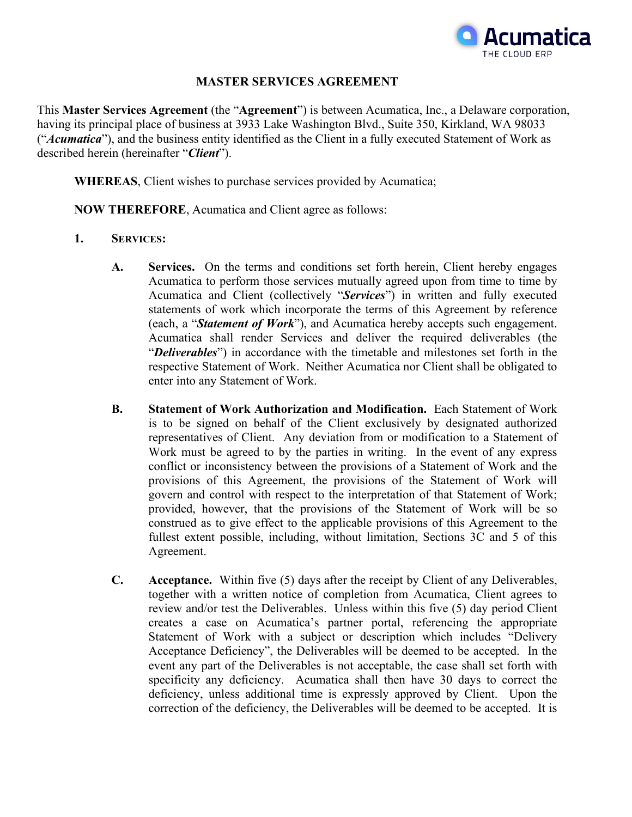

### **MASTER SERVICES AGREEMENT**

This **Master Services Agreement** (the "**Agreement**") is between Acumatica, Inc., a Delaware corporation, having its principal place of business at 3933 Lake Washington Blvd., Suite 350, Kirkland, WA 98033 ("*Acumatica*"), and the business entity identified as the Client in a fully executed Statement of Work as described herein (hereinafter "*Client*").

**WHEREAS**, Client wishes to purchase services provided by Acumatica;

**NOW THEREFORE**, Acumatica and Client agree as follows:

- **1. SERVICES:**
	- **A. Services.** On the terms and conditions set forth herein, Client hereby engages Acumatica to perform those services mutually agreed upon from time to time by Acumatica and Client (collectively "*Services*") in written and fully executed statements of work which incorporate the terms of this Agreement by reference (each, a "*Statement of Work*"), and Acumatica hereby accepts such engagement. Acumatica shall render Services and deliver the required deliverables (the "*Deliverables*") in accordance with the timetable and milestones set forth in the respective Statement of Work. Neither Acumatica nor Client shall be obligated to enter into any Statement of Work.
	- **B. Statement of Work Authorization and Modification.** Each Statement of Work is to be signed on behalf of the Client exclusively by designated authorized representatives of Client. Any deviation from or modification to a Statement of Work must be agreed to by the parties in writing. In the event of any express conflict or inconsistency between the provisions of a Statement of Work and the provisions of this Agreement, the provisions of the Statement of Work will govern and control with respect to the interpretation of that Statement of Work; provided, however, that the provisions of the Statement of Work will be so construed as to give effect to the applicable provisions of this Agreement to the fullest extent possible, including, without limitation, Sections 3C and 5 of this Agreement.
	- **C. Acceptance.** Within five (5) days after the receipt by Client of any Deliverables, together with a written notice of completion from Acumatica, Client agrees to review and/or test the Deliverables. Unless within this five (5) day period Client creates a case on Acumatica's partner portal, referencing the appropriate Statement of Work with a subject or description which includes "Delivery Acceptance Deficiency", the Deliverables will be deemed to be accepted. In the event any part of the Deliverables is not acceptable, the case shall set forth with specificity any deficiency. Acumatica shall then have 30 days to correct the deficiency, unless additional time is expressly approved by Client. Upon the correction of the deficiency, the Deliverables will be deemed to be accepted. It is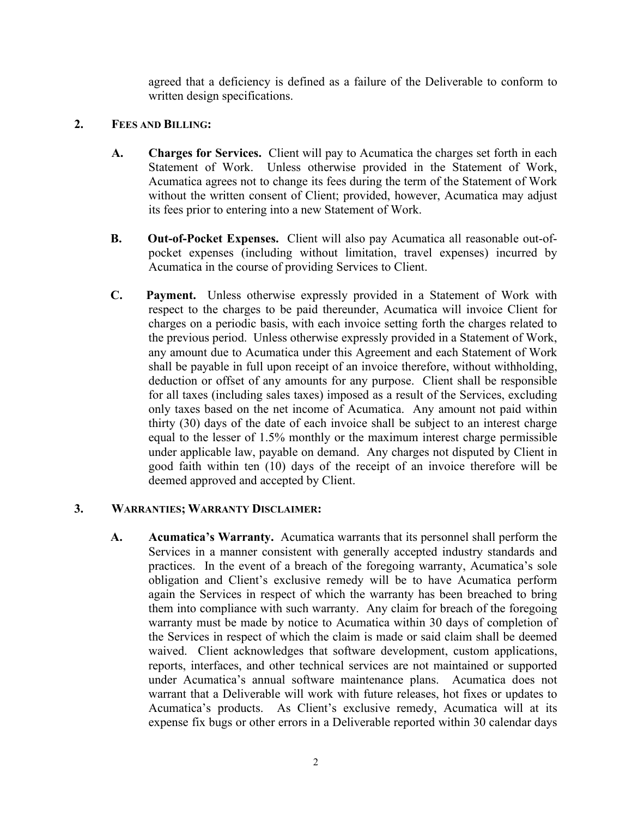agreed that a deficiency is defined as a failure of the Deliverable to conform to written design specifications.

### **2. FEES AND BILLING:**

- **A. Charges for Services.** Client will pay to Acumatica the charges set forth in each Statement of Work. Unless otherwise provided in the Statement of Work, Acumatica agrees not to change its fees during the term of the Statement of Work without the written consent of Client; provided, however, Acumatica may adjust its fees prior to entering into a new Statement of Work.
- **B. Out-of-Pocket Expenses.** Client will also pay Acumatica all reasonable out-ofpocket expenses (including without limitation, travel expenses) incurred by Acumatica in the course of providing Services to Client.
- **C. Payment.** Unless otherwise expressly provided in a Statement of Work with respect to the charges to be paid thereunder, Acumatica will invoice Client for charges on a periodic basis, with each invoice setting forth the charges related to the previous period. Unless otherwise expressly provided in a Statement of Work, any amount due to Acumatica under this Agreement and each Statement of Work shall be payable in full upon receipt of an invoice therefore, without withholding, deduction or offset of any amounts for any purpose. Client shall be responsible for all taxes (including sales taxes) imposed as a result of the Services, excluding only taxes based on the net income of Acumatica. Any amount not paid within thirty (30) days of the date of each invoice shall be subject to an interest charge equal to the lesser of 1.5% monthly or the maximum interest charge permissible under applicable law, payable on demand. Any charges not disputed by Client in good faith within ten (10) days of the receipt of an invoice therefore will be deemed approved and accepted by Client.

# **3. WARRANTIES; WARRANTY DISCLAIMER:**

**A. Acumatica's Warranty.** Acumatica warrants that its personnel shall perform the Services in a manner consistent with generally accepted industry standards and practices. In the event of a breach of the foregoing warranty, Acumatica's sole obligation and Client's exclusive remedy will be to have Acumatica perform again the Services in respect of which the warranty has been breached to bring them into compliance with such warranty. Any claim for breach of the foregoing warranty must be made by notice to Acumatica within 30 days of completion of the Services in respect of which the claim is made or said claim shall be deemed waived. Client acknowledges that software development, custom applications, reports, interfaces, and other technical services are not maintained or supported under Acumatica's annual software maintenance plans. Acumatica does not warrant that a Deliverable will work with future releases, hot fixes or updates to Acumatica's products. As Client's exclusive remedy, Acumatica will at its expense fix bugs or other errors in a Deliverable reported within 30 calendar days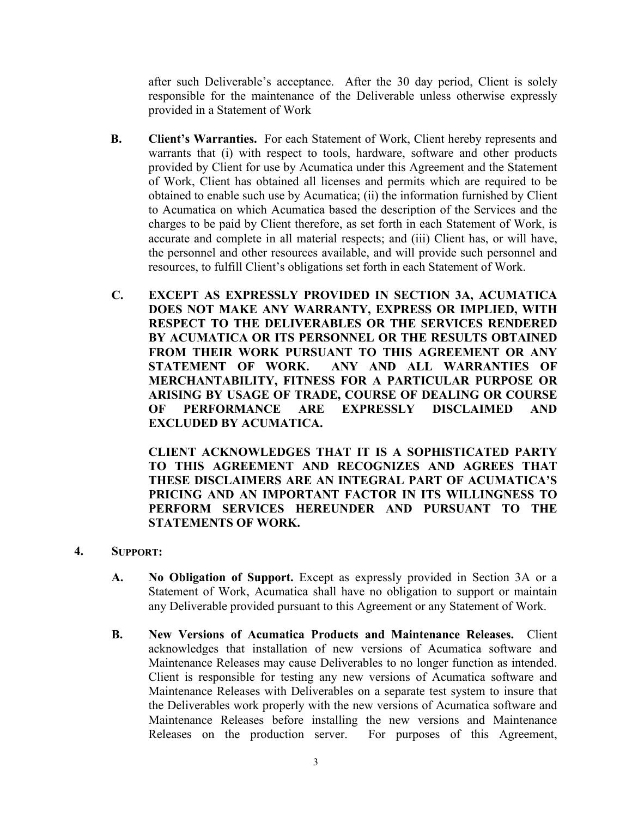after such Deliverable's acceptance. After the 30 day period, Client is solely responsible for the maintenance of the Deliverable unless otherwise expressly provided in a Statement of Work

- **B. Client's Warranties.** For each Statement of Work, Client hereby represents and warrants that (i) with respect to tools, hardware, software and other products provided by Client for use by Acumatica under this Agreement and the Statement of Work, Client has obtained all licenses and permits which are required to be obtained to enable such use by Acumatica; (ii) the information furnished by Client to Acumatica on which Acumatica based the description of the Services and the charges to be paid by Client therefore, as set forth in each Statement of Work, is accurate and complete in all material respects; and (iii) Client has, or will have, the personnel and other resources available, and will provide such personnel and resources, to fulfill Client's obligations set forth in each Statement of Work.
- **C. EXCEPT AS EXPRESSLY PROVIDED IN SECTION 3A, ACUMATICA DOES NOT MAKE ANY WARRANTY, EXPRESS OR IMPLIED, WITH RESPECT TO THE DELIVERABLES OR THE SERVICES RENDERED BY ACUMATICA OR ITS PERSONNEL OR THE RESULTS OBTAINED FROM THEIR WORK PURSUANT TO THIS AGREEMENT OR ANY STATEMENT OF WORK. ANY AND ALL WARRANTIES OF MERCHANTABILITY, FITNESS FOR A PARTICULAR PURPOSE OR ARISING BY USAGE OF TRADE, COURSE OF DEALING OR COURSE OF PERFORMANCE ARE EXPRESSLY DISCLAIMED AND EXCLUDED BY ACUMATICA.**

**CLIENT ACKNOWLEDGES THAT IT IS A SOPHISTICATED PARTY TO THIS AGREEMENT AND RECOGNIZES AND AGREES THAT THESE DISCLAIMERS ARE AN INTEGRAL PART OF ACUMATICA'S PRICING AND AN IMPORTANT FACTOR IN ITS WILLINGNESS TO PERFORM SERVICES HEREUNDER AND PURSUANT TO THE STATEMENTS OF WORK.**

- **4. SUPPORT:**
	- **A. No Obligation of Support.** Except as expressly provided in Section 3A or a Statement of Work, Acumatica shall have no obligation to support or maintain any Deliverable provided pursuant to this Agreement or any Statement of Work.
	- **B. New Versions of Acumatica Products and Maintenance Releases.** Client acknowledges that installation of new versions of Acumatica software and Maintenance Releases may cause Deliverables to no longer function as intended. Client is responsible for testing any new versions of Acumatica software and Maintenance Releases with Deliverables on a separate test system to insure that the Deliverables work properly with the new versions of Acumatica software and Maintenance Releases before installing the new versions and Maintenance Releases on the production server. For purposes of this Agreement,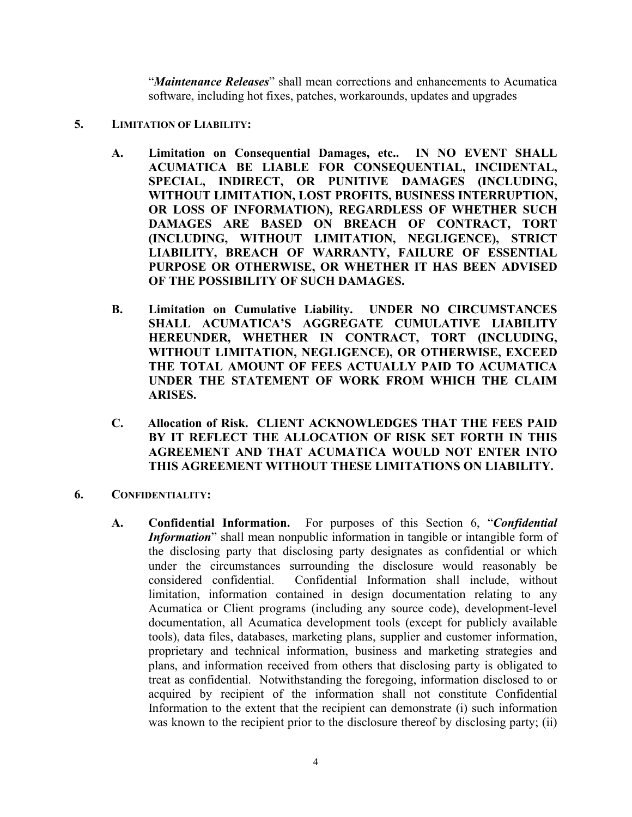"*Maintenance Releases*" shall mean corrections and enhancements to Acumatica software, including hot fixes, patches, workarounds, updates and upgrades

- **5. LIMITATION OF LIABILITY:**
	- **A. Limitation on Consequential Damages, etc.. IN NO EVENT SHALL ACUMATICA BE LIABLE FOR CONSEQUENTIAL, INCIDENTAL, SPECIAL, INDIRECT, OR PUNITIVE DAMAGES (INCLUDING, WITHOUT LIMITATION, LOST PROFITS, BUSINESS INTERRUPTION, OR LOSS OF INFORMATION), REGARDLESS OF WHETHER SUCH DAMAGES ARE BASED ON BREACH OF CONTRACT, TORT (INCLUDING, WITHOUT LIMITATION, NEGLIGENCE), STRICT LIABILITY, BREACH OF WARRANTY, FAILURE OF ESSENTIAL PURPOSE OR OTHERWISE, OR WHETHER IT HAS BEEN ADVISED OF THE POSSIBILITY OF SUCH DAMAGES.**
	- **B. Limitation on Cumulative Liability. UNDER NO CIRCUMSTANCES SHALL ACUMATICA'S AGGREGATE CUMULATIVE LIABILITY HEREUNDER, WHETHER IN CONTRACT, TORT (INCLUDING, WITHOUT LIMITATION, NEGLIGENCE), OR OTHERWISE, EXCEED THE TOTAL AMOUNT OF FEES ACTUALLY PAID TO ACUMATICA UNDER THE STATEMENT OF WORK FROM WHICH THE CLAIM ARISES.**
	- **C. Allocation of Risk. CLIENT ACKNOWLEDGES THAT THE FEES PAID BY IT REFLECT THE ALLOCATION OF RISK SET FORTH IN THIS AGREEMENT AND THAT ACUMATICA WOULD NOT ENTER INTO THIS AGREEMENT WITHOUT THESE LIMITATIONS ON LIABILITY.**
- **6. CONFIDENTIALITY:**
	- **A. Confidential Information.** For purposes of this Section 6, "*Confidential Information*" shall mean nonpublic information in tangible or intangible form of the disclosing party that disclosing party designates as confidential or which under the circumstances surrounding the disclosure would reasonably be considered confidential. Confidential Information shall include, without limitation, information contained in design documentation relating to any Acumatica or Client programs (including any source code), development-level documentation, all Acumatica development tools (except for publicly available tools), data files, databases, marketing plans, supplier and customer information, proprietary and technical information, business and marketing strategies and plans, and information received from others that disclosing party is obligated to treat as confidential. Notwithstanding the foregoing, information disclosed to or acquired by recipient of the information shall not constitute Confidential Information to the extent that the recipient can demonstrate (i) such information was known to the recipient prior to the disclosure thereof by disclosing party; (ii)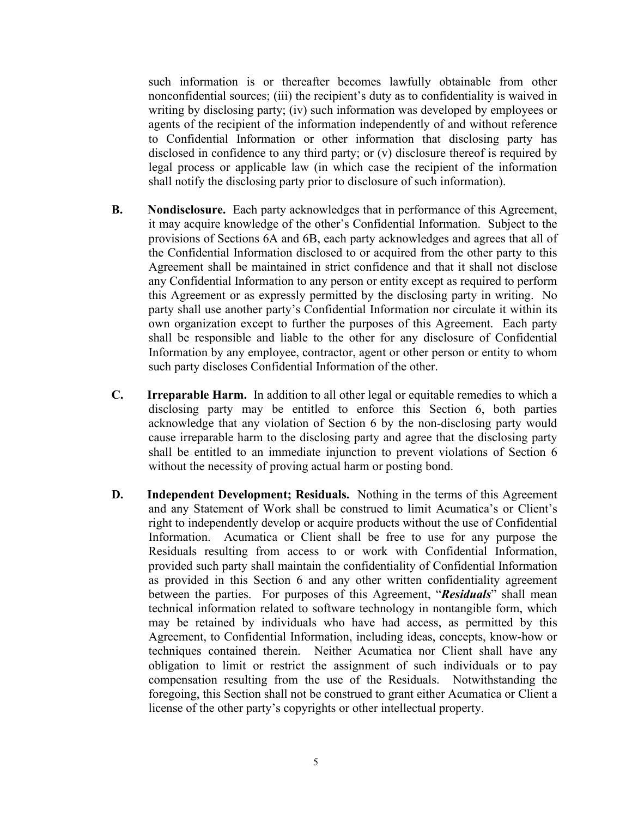such information is or thereafter becomes lawfully obtainable from other nonconfidential sources; (iii) the recipient's duty as to confidentiality is waived in writing by disclosing party; (iv) such information was developed by employees or agents of the recipient of the information independently of and without reference to Confidential Information or other information that disclosing party has disclosed in confidence to any third party; or (v) disclosure thereof is required by legal process or applicable law (in which case the recipient of the information shall notify the disclosing party prior to disclosure of such information).

- **B. Nondisclosure.** Each party acknowledges that in performance of this Agreement, it may acquire knowledge of the other's Confidential Information. Subject to the provisions of Sections 6A and 6B, each party acknowledges and agrees that all of the Confidential Information disclosed to or acquired from the other party to this Agreement shall be maintained in strict confidence and that it shall not disclose any Confidential Information to any person or entity except as required to perform this Agreement or as expressly permitted by the disclosing party in writing. No party shall use another party's Confidential Information nor circulate it within its own organization except to further the purposes of this Agreement. Each party shall be responsible and liable to the other for any disclosure of Confidential Information by any employee, contractor, agent or other person or entity to whom such party discloses Confidential Information of the other.
- **C. Irreparable Harm.** In addition to all other legal or equitable remedies to which a disclosing party may be entitled to enforce this Section 6, both parties acknowledge that any violation of Section 6 by the non-disclosing party would cause irreparable harm to the disclosing party and agree that the disclosing party shall be entitled to an immediate injunction to prevent violations of Section 6 without the necessity of proving actual harm or posting bond.
- **D. Independent Development; Residuals.** Nothing in the terms of this Agreement and any Statement of Work shall be construed to limit Acumatica's or Client's right to independently develop or acquire products without the use of Confidential Information. Acumatica or Client shall be free to use for any purpose the Residuals resulting from access to or work with Confidential Information, provided such party shall maintain the confidentiality of Confidential Information as provided in this Section 6 and any other written confidentiality agreement between the parties. For purposes of this Agreement, "*Residuals*" shall mean technical information related to software technology in nontangible form, which may be retained by individuals who have had access, as permitted by this Agreement, to Confidential Information, including ideas, concepts, know-how or techniques contained therein. Neither Acumatica nor Client shall have any obligation to limit or restrict the assignment of such individuals or to pay compensation resulting from the use of the Residuals. Notwithstanding the foregoing, this Section shall not be construed to grant either Acumatica or Client a license of the other party's copyrights or other intellectual property.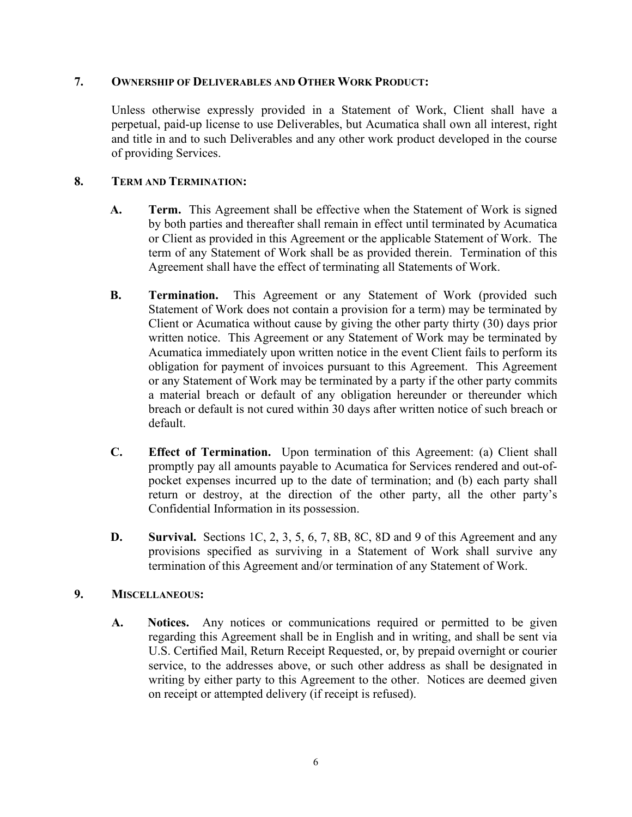### **7. OWNERSHIP OF DELIVERABLES AND OTHER WORK PRODUCT:**

Unless otherwise expressly provided in a Statement of Work, Client shall have a perpetual, paid-up license to use Deliverables, but Acumatica shall own all interest, right and title in and to such Deliverables and any other work product developed in the course of providing Services.

# **8. TERM AND TERMINATION:**

- **A. Term.** This Agreement shall be effective when the Statement of Work is signed by both parties and thereafter shall remain in effect until terminated by Acumatica or Client as provided in this Agreement or the applicable Statement of Work. The term of any Statement of Work shall be as provided therein. Termination of this Agreement shall have the effect of terminating all Statements of Work.
- **B. Termination.** This Agreement or any Statement of Work (provided such Statement of Work does not contain a provision for a term) may be terminated by Client or Acumatica without cause by giving the other party thirty (30) days prior written notice. This Agreement or any Statement of Work may be terminated by Acumatica immediately upon written notice in the event Client fails to perform its obligation for payment of invoices pursuant to this Agreement. This Agreement or any Statement of Work may be terminated by a party if the other party commits a material breach or default of any obligation hereunder or thereunder which breach or default is not cured within 30 days after written notice of such breach or default.
- **C. Effect of Termination.** Upon termination of this Agreement: (a) Client shall promptly pay all amounts payable to Acumatica for Services rendered and out-ofpocket expenses incurred up to the date of termination; and (b) each party shall return or destroy, at the direction of the other party, all the other party's Confidential Information in its possession.
- **D. Survival.** Sections 1C, 2, 3, 5, 6, 7, 8B, 8C, 8D and 9 of this Agreement and any provisions specified as surviving in a Statement of Work shall survive any termination of this Agreement and/or termination of any Statement of Work.

# **9. MISCELLANEOUS:**

**A. Notices.** Any notices or communications required or permitted to be given regarding this Agreement shall be in English and in writing, and shall be sent via U.S. Certified Mail, Return Receipt Requested, or, by prepaid overnight or courier service, to the addresses above, or such other address as shall be designated in writing by either party to this Agreement to the other. Notices are deemed given on receipt or attempted delivery (if receipt is refused).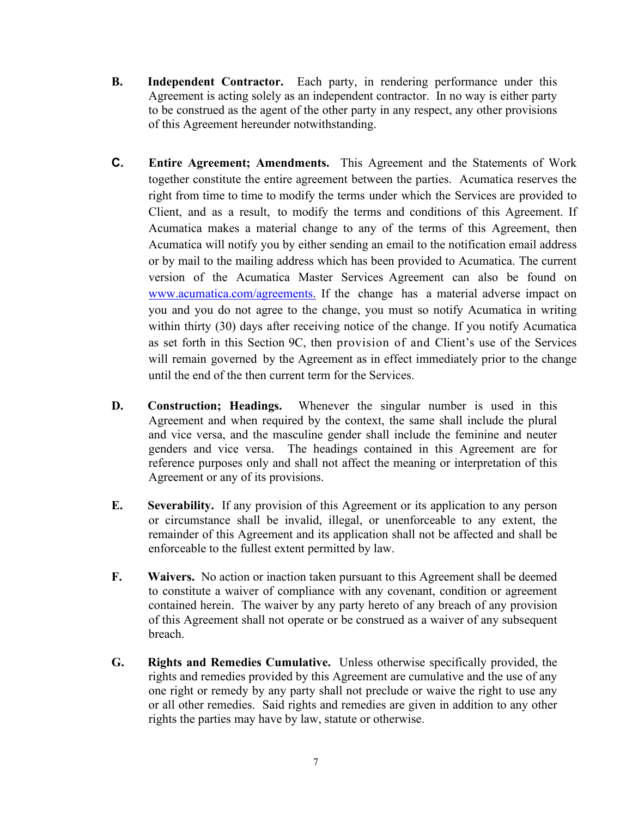- **B. Independent Contractor.** Each party, in rendering performance under this Agreement is acting solely as an independent contractor. In no way is either party to be construed as the agent of the other party in any respect, any other provisions of this Agreement hereunder notwithstanding.
- **C. Entire Agreement; Amendments.** This Agreement and the Statements of Work together constitute the entire agreement between the parties. Acumatica reserves the right from time to time to modify the terms under which the Services are provided to Client, and as a result, to modify the terms and conditions of this Agreement. If Acumatica makes a material change to any of the terms of this Agreement, then Acumatica will notify you by either sending an email to the notification email address or by mail to the mailing address which has been provided to Acumatica. The current version of the Acumatica Master Services Agreement can also be found on [www.acumatica.com/agreements.](http://www.acumatica.com/) If the change has a material adverse impact on you and you do not agree to the change, you must so notify Acumatica in writing within thirty (30) days after receiving notice of the change. If you notify Acumatica as set forth in this Section 9C, then provision of and Client's use of the Services will remain governed by the Agreement as in effect immediately prior to the change until the end of the then current term for the Services.
- **D. Construction; Headings.** Whenever the singular number is used in this Agreement and when required by the context, the same shall include the plural and vice versa, and the masculine gender shall include the feminine and neuter genders and vice versa. The headings contained in this Agreement are for reference purposes only and shall not affect the meaning or interpretation of this Agreement or any of its provisions.
- **E. Severability.** If any provision of this Agreement or its application to any person or circumstance shall be invalid, illegal, or unenforceable to any extent, the remainder of this Agreement and its application shall not be affected and shall be enforceable to the fullest extent permitted by law.
- **F. Waivers.** No action or inaction taken pursuant to this Agreement shall be deemed to constitute a waiver of compliance with any covenant, condition or agreement contained herein. The waiver by any party hereto of any breach of any provision of this Agreement shall not operate or be construed as a waiver of any subsequent breach.
- **G. Rights and Remedies Cumulative.** Unless otherwise specifically provided, the rights and remedies provided by this Agreement are cumulative and the use of any one right or remedy by any party shall not preclude or waive the right to use any or all other remedies. Said rights and remedies are given in addition to any other rights the parties may have by law, statute or otherwise.